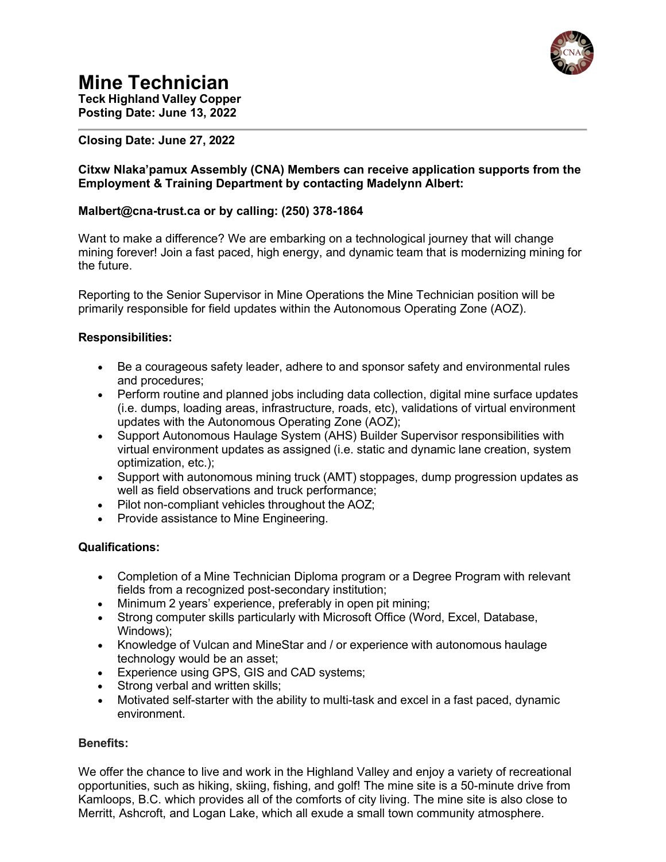

# **Mine Technician**

**Teck Highland Valley Copper Posting Date: June 13, 2022**

# **Closing Date: June 27, 2022**

## **Citxw Nlaka'pamux Assembly (CNA) Members can receive application supports from the Employment & Training Department by contacting Madelynn Albert:**

# **Malbert@cna-trust.ca or by calling: (250) 378-1864**

Want to make a difference? We are embarking on a technological journey that will change mining forever! Join a fast paced, high energy, and dynamic team that is modernizing mining for the future.

Reporting to the Senior Supervisor in Mine Operations the Mine Technician position will be primarily responsible for field updates within the Autonomous Operating Zone (AOZ).

## **Responsibilities:**

- Be a courageous safety leader, adhere to and sponsor safety and environmental rules and procedures;
- Perform routine and planned jobs including data collection, digital mine surface updates (i.e. dumps, loading areas, infrastructure, roads, etc), validations of virtual environment updates with the Autonomous Operating Zone (AOZ);
- Support Autonomous Haulage System (AHS) Builder Supervisor responsibilities with virtual environment updates as assigned (i.e. static and dynamic lane creation, system optimization, etc.);
- Support with autonomous mining truck (AMT) stoppages, dump progression updates as well as field observations and truck performance;
- Pilot non-compliant vehicles throughout the AOZ;
- Provide assistance to Mine Engineering.

## **Qualifications:**

- Completion of a Mine Technician Diploma program or a Degree Program with relevant fields from a recognized post-secondary institution;
- Minimum 2 years' experience, preferably in open pit mining;
- Strong computer skills particularly with Microsoft Office (Word, Excel, Database, Windows);
- Knowledge of Vulcan and MineStar and / or experience with autonomous haulage technology would be an asset;
- Experience using GPS, GIS and CAD systems;
- Strong verbal and written skills;
- Motivated self-starter with the ability to multi-task and excel in a fast paced, dynamic environment.

#### **Benefits:**

We offer the chance to live and work in the Highland Valley and enjoy a variety of recreational opportunities, such as hiking, skiing, fishing, and golf! The mine site is a 50-minute drive from Kamloops, B.C. which provides all of the comforts of city living. The mine site is also close to Merritt, Ashcroft, and Logan Lake, which all exude a small town community atmosphere.